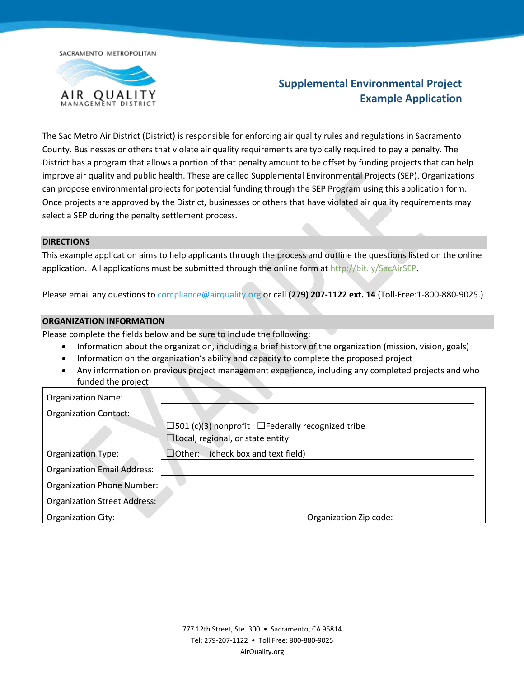SACRAMENTO METROPOLITAN



# **Supplemental Environmental Project Example Application**

The Sac Metro Air District (District) is responsible for enforcing air quality rules and regulations in Sacramento County. Businesses or others that violate air quality requirements are typically required to pay a penalty. The District has a program that allows a portion of that penalty amount to be offset by funding projects that can help improve air quality and public health. These are called Supplemental Environmental Projects (SEP). Organizations can propose environmental projects for potential funding through the SEP Program using this application form. Once projects are approved by the District, businesses or others that have violated air quality requirements may select a SEP during the penalty settlement process.

#### **DIRECTIONS**

This example application aims to help applicants through the process and outline the questions listed on the online application. All applications must be submitted through the online form at [http://bit.ly/SacAirSEP.](http://bit.ly/SacAirSEP)

Please email any questions to [compliance@airquality.org](mailto:compliance@airquality.org) or call **(279) 207-1122 ext. 14** (Toll-Free:1-800-880-9025.)

#### **ORGANIZATION INFORMATION**

Please complete the fields below and be sure to include the following:

- Information about the organization, including a brief history of the organization (mission, vision, goals)
- Information on the organization's ability and capacity to complete the proposed project
- Any information on previous project management experience, including any completed projects and who funded the project

| <b>Organization Name:</b>           |                                                               |  |  |
|-------------------------------------|---------------------------------------------------------------|--|--|
| <b>Organization Contact:</b>        |                                                               |  |  |
|                                     | $\Box$ 501 (c)(3) nonprofit $\Box$ Federally recognized tribe |  |  |
|                                     | $\Box$ Local, regional, or state entity                       |  |  |
| <b>Organization Type:</b>           | $\Box$ Other: (check box and text field)                      |  |  |
| <b>Organization Email Address:</b>  |                                                               |  |  |
| <b>Organization Phone Number:</b>   |                                                               |  |  |
| <b>Organization Street Address:</b> |                                                               |  |  |
| Organization City:                  | Organization Zip code:                                        |  |  |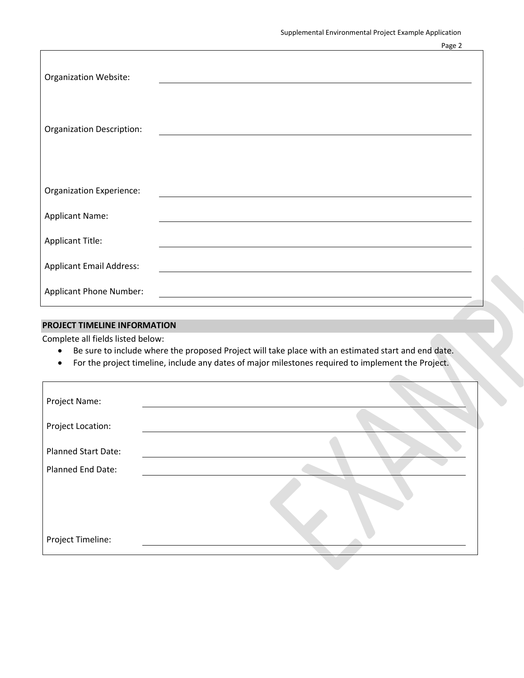| <b>Organization Website:</b>     |  |
|----------------------------------|--|
| <b>Organization Description:</b> |  |
| <b>Organization Experience:</b>  |  |
| <b>Applicant Name:</b>           |  |
| <b>Applicant Title:</b>          |  |
| <b>Applicant Email Address:</b>  |  |
| <b>Applicant Phone Number:</b>   |  |

# **PROJECT TIMELINE INFORMATION**

Complete all fields listed below:

- Be sure to include where the proposed Project will take place with an estimated start and end date.
- For the project timeline, include any dates of major milestones required to implement the Project.

| Project Name:              |  |
|----------------------------|--|
| Project Location:          |  |
| <b>Planned Start Date:</b> |  |
| Planned End Date:          |  |
|                            |  |
| Project Timeline:          |  |